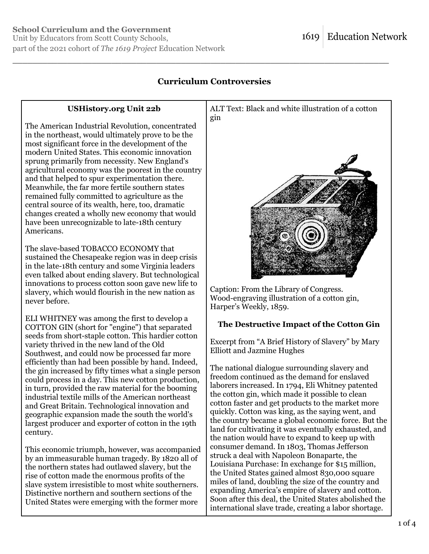Unit by Educators from Scott County Schools, part of the 2021 cohort of *The 1619 Project* Education Network

## **Curriculum Controversies**

\_\_\_\_\_\_\_\_\_\_\_\_\_\_\_\_\_\_\_\_\_\_\_\_\_\_\_\_\_\_\_\_\_\_\_\_\_\_\_\_\_\_\_\_\_\_\_\_\_\_\_\_\_\_\_\_\_\_\_\_\_\_\_\_\_\_\_\_\_\_\_\_\_\_\_\_

## **USHistory.org Unit 22b**

The American Industrial Revolution, concentrated in the northeast, would ultimately prove to be the most significant force in the development of the modern United States. This economic innovation sprung primarily from necessity. New England's agricultural economy was the poorest in the country and that helped to spur experimentation there. Meanwhile, the far more fertile southern states remained fully committed to agriculture as the central source of its wealth, here, too, dramatic changes created a wholly new economy that would have been unrecognizable to late-18th century Americans.

The slave-based TOBACCO ECONOMY that sustained the Chesapeake region was in deep crisis in the late-18th century and some Virginia leaders even talked about ending slavery. But technological innovations to process cotton soon gave new life to slavery, which would flourish in the new nation as never before.

ELI WHITNEY was among the first to develop a COTTON GIN (short for "engine") that separated seeds from short-staple cotton. This hardier cotton variety thrived in the new land of the Old Southwest, and could now be processed far more efficiently than had been possible by hand. Indeed, the gin increased by fifty times what a single person could process in a day. This new cotton production, in turn, provided the raw material for the booming industrial textile mills of the American northeast and Great Britain. Technological innovation and geographic expansion made the south the world's largest producer and exporter of cotton in the 19th century.

This economic triumph, however, was accompanied by an immeasurable human tragedy. By 1820 all of the northern states had outlawed slavery, but the rise of cotton made the enormous profits of the slave system irresistible to most white southerners. Distinctive northern and southern sections of the United States were emerging with the former more



Caption: From the Library of Congress. Wood-engraving illustration of a cotton gin, Harper's Weekly, 1859.

## **The Destructive Impact of the Cotton Gin**

Excerpt from "A Brief History of Slavery" by Mary Elliott and Jazmine Hughes

The national dialogue surrounding slavery and freedom continued as the demand for enslaved laborers increased. In 1794, Eli Whitney patented the cotton gin, which made it possible to clean cotton faster and get products to the market more quickly. Cotton was king, as the saying went, and the country became a global economic force. But the land for cultivating it was eventually exhausted, and the nation would have to expand to keep up with consumer demand. In 1803, Thomas Jefferson struck a deal with Napoleon Bonaparte, the Louisiana Purchase: In exchange for \$15 million, the United States gained almost 830,000 square miles of land, doubling the size of the country and expanding America's empire of slavery and cotton. Soon after this deal, the United States abolished the international slave trade, creating a labor shortage.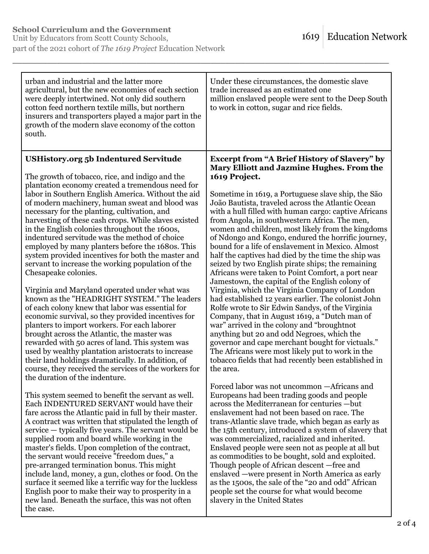| urban and industrial and the latter more<br>agricultural, but the new economies of each section<br>were deeply intertwined. Not only did southern<br>cotton feed northern textile mills, but northern<br>insurers and transporters played a major part in the<br>growth of the modern slave economy of the cotton<br>south. | Under these circumstances, the domestic slave<br>trade increased as an estimated one<br>million enslaved people were sent to the Deep South<br>to work in cotton, sugar and rice fields. |
|-----------------------------------------------------------------------------------------------------------------------------------------------------------------------------------------------------------------------------------------------------------------------------------------------------------------------------|------------------------------------------------------------------------------------------------------------------------------------------------------------------------------------------|
| <b>USHistory.org 5b Indentured Servitude</b>                                                                                                                                                                                                                                                                                | <b>Excerpt from "A Brief History of Slavery" by</b>                                                                                                                                      |
| The growth of tobacco, rice, and indigo and the                                                                                                                                                                                                                                                                             | Mary Elliott and Jazmine Hughes. From the                                                                                                                                                |
| plantation economy created a tremendous need for                                                                                                                                                                                                                                                                            | 1619 Project.                                                                                                                                                                            |
| labor in Southern English America. Without the aid                                                                                                                                                                                                                                                                          | Sometime in 1619, a Portuguese slave ship, the São                                                                                                                                       |
| of modern machinery, human sweat and blood was                                                                                                                                                                                                                                                                              | João Bautista, traveled across the Atlantic Ocean                                                                                                                                        |
| necessary for the planting, cultivation, and                                                                                                                                                                                                                                                                                | with a hull filled with human cargo: captive Africans                                                                                                                                    |
| harvesting of these cash crops. While slaves existed                                                                                                                                                                                                                                                                        | from Angola, in southwestern Africa. The men,                                                                                                                                            |
| in the English colonies throughout the 1600s,                                                                                                                                                                                                                                                                               | women and children, most likely from the kingdoms                                                                                                                                        |
| indentured servitude was the method of choice                                                                                                                                                                                                                                                                               | of Ndongo and Kongo, endured the horrific journey,                                                                                                                                       |
| employed by many planters before the 1680s. This                                                                                                                                                                                                                                                                            | bound for a life of enslavement in Mexico. Almost                                                                                                                                        |
| system provided incentives for both the master and                                                                                                                                                                                                                                                                          | half the captives had died by the time the ship was                                                                                                                                      |
| servant to increase the working population of the                                                                                                                                                                                                                                                                           | seized by two English pirate ships; the remaining                                                                                                                                        |
| Chesapeake colonies.                                                                                                                                                                                                                                                                                                        | Africans were taken to Point Comfort, a port near                                                                                                                                        |
| Virginia and Maryland operated under what was                                                                                                                                                                                                                                                                               | Jamestown, the capital of the English colony of                                                                                                                                          |
| known as the "HEADRIGHT SYSTEM." The leaders                                                                                                                                                                                                                                                                                | Virginia, which the Virginia Company of London                                                                                                                                           |
| of each colony knew that labor was essential for                                                                                                                                                                                                                                                                            | had established 12 years earlier. The colonist John                                                                                                                                      |
| economic survival, so they provided incentives for                                                                                                                                                                                                                                                                          | Rolfe wrote to Sir Edwin Sandys, of the Virginia                                                                                                                                         |
| planters to import workers. For each laborer                                                                                                                                                                                                                                                                                | Company, that in August 1619, a "Dutch man of                                                                                                                                            |
| brought across the Atlantic, the master was                                                                                                                                                                                                                                                                                 | war" arrived in the colony and "broughtnot"                                                                                                                                              |
| rewarded with 50 acres of land. This system was                                                                                                                                                                                                                                                                             | anything but 20 and odd Negroes, which the                                                                                                                                               |
| used by wealthy plantation aristocrats to increase                                                                                                                                                                                                                                                                          | governor and cape merchant bought for victuals."                                                                                                                                         |
| their land holdings dramatically. In addition, of                                                                                                                                                                                                                                                                           | The Africans were most likely put to work in the                                                                                                                                         |
| course, they received the services of the workers for                                                                                                                                                                                                                                                                       | tobacco fields that had recently been established in                                                                                                                                     |
| the duration of the indenture.                                                                                                                                                                                                                                                                                              | the area.                                                                                                                                                                                |
| This system seemed to benefit the servant as well.                                                                                                                                                                                                                                                                          | Forced labor was not uncommon -Africans and                                                                                                                                              |
| Each INDENTURED SERVANT would have their                                                                                                                                                                                                                                                                                    | Europeans had been trading goods and people                                                                                                                                              |
| fare across the Atlantic paid in full by their master.                                                                                                                                                                                                                                                                      | across the Mediterranean for centuries -but                                                                                                                                              |
| A contract was written that stipulated the length of                                                                                                                                                                                                                                                                        | enslavement had not been based on race. The                                                                                                                                              |
| service — typically five years. The servant would be                                                                                                                                                                                                                                                                        | trans-Atlantic slave trade, which began as early as                                                                                                                                      |
| supplied room and board while working in the                                                                                                                                                                                                                                                                                | the 15th century, introduced a system of slavery that                                                                                                                                    |
| master's fields. Upon completion of the contract,                                                                                                                                                                                                                                                                           | was commercialized, racialized and inherited.                                                                                                                                            |
| the servant would receive "freedom dues," a                                                                                                                                                                                                                                                                                 | Enslaved people were seen not as people at all but                                                                                                                                       |
| pre-arranged termination bonus. This might                                                                                                                                                                                                                                                                                  | as commodities to be bought, sold and exploited.                                                                                                                                         |
| include land, money, a gun, clothes or food. On the                                                                                                                                                                                                                                                                         | Though people of African descent —free and                                                                                                                                               |
| surface it seemed like a terrific way for the luckless                                                                                                                                                                                                                                                                      | enslaved — were present in North America as early                                                                                                                                        |
| English poor to make their way to prosperity in a                                                                                                                                                                                                                                                                           | as the 1500s, the sale of the "20 and odd" African                                                                                                                                       |
| new land. Beneath the surface, this was not often                                                                                                                                                                                                                                                                           | people set the course for what would become                                                                                                                                              |
| the case.                                                                                                                                                                                                                                                                                                                   | slavery in the United States                                                                                                                                                             |

\_\_\_\_\_\_\_\_\_\_\_\_\_\_\_\_\_\_\_\_\_\_\_\_\_\_\_\_\_\_\_\_\_\_\_\_\_\_\_\_\_\_\_\_\_\_\_\_\_\_\_\_\_\_\_\_\_\_\_\_\_\_\_\_\_\_\_\_\_\_\_\_\_\_\_\_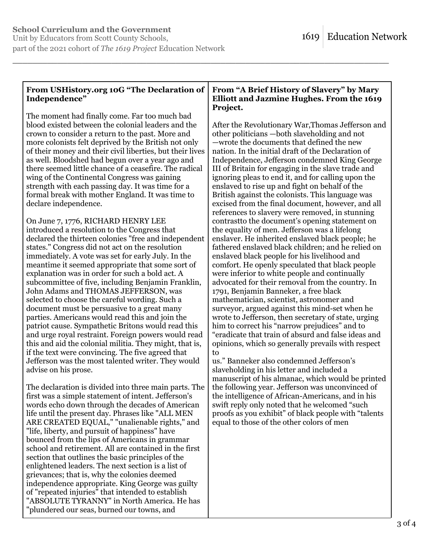grievances; that is, why the colonies deemed independence appropriate. King George was guilty of "repeated injuries" that intended to establish "ABSOLUTE TYRANNY" in North America. He has

"plundered our seas, burned our towns, and

Unit by Educators from Scott County Schools, part of the 2021 cohort of *The 1619 Project* Education Network

| From USHistory.org 10G "The Declaration of<br>Independence"                                                   | From "A Brief History of Slavery" by Mary<br><b>Elliott and Jazmine Hughes. From the 1619</b><br>Project. |
|---------------------------------------------------------------------------------------------------------------|-----------------------------------------------------------------------------------------------------------|
| The moment had finally come. Far too much bad                                                                 |                                                                                                           |
| blood existed between the colonial leaders and the                                                            | After the Revolutionary War, Thomas Jefferson and                                                         |
| crown to consider a return to the past. More and                                                              | other politicians —both slaveholding and not                                                              |
| more colonists felt deprived by the British not only                                                          | —wrote the documents that defined the new                                                                 |
| of their money and their civil liberties, but their lives<br>as well. Bloodshed had begun over a year ago and | nation. In the initial draft of the Declaration of<br>Independence, Jefferson condemned King George       |
| there seemed little chance of a ceasefire. The radical                                                        | III of Britain for engaging in the slave trade and                                                        |
| wing of the Continental Congress was gaining                                                                  | ignoring pleas to end it, and for calling upon the                                                        |
| strength with each passing day. It was time for a                                                             | enslaved to rise up and fight on behalf of the                                                            |
| formal break with mother England. It was time to                                                              | British against the colonists. This language was                                                          |
| declare independence.                                                                                         | excised from the final document, however, and all                                                         |
|                                                                                                               | references to slavery were removed, in stunning                                                           |
| On June 7, 1776, RICHARD HENRY LEE                                                                            | contrast to the document's opening statement on                                                           |
| introduced a resolution to the Congress that                                                                  | the equality of men. Jefferson was a lifelong                                                             |
| declared the thirteen colonies "free and independent<br>states." Congress did not act on the resolution       | enslaver. He inherited enslaved black people; he<br>fathered enslaved black children; and he relied on    |
| immediately. A vote was set for early July. In the                                                            | enslaved black people for his livelihood and                                                              |
| meantime it seemed appropriate that some sort of                                                              | comfort. He openly speculated that black people                                                           |
| explanation was in order for such a bold act. A                                                               | were inferior to white people and continually                                                             |
| subcommittee of five, including Benjamin Franklin,                                                            | advocated for their removal from the country. In                                                          |
| John Adams and THOMAS JEFFERSON, was                                                                          | 1791, Benjamin Banneker, a free black                                                                     |
| selected to choose the careful wording. Such a                                                                | mathematician, scientist, astronomer and                                                                  |
| document must be persuasive to a great many                                                                   | surveyor, argued against this mind-set when he                                                            |
| parties. Americans would read this and join the<br>patriot cause. Sympathetic Britons would read this         | wrote to Jefferson, then secretary of state, urging                                                       |
| and urge royal restraint. Foreign powers would read                                                           | him to correct his "narrow prejudices" and to<br>"eradicate that train of absurd and false ideas and      |
| this and aid the colonial militia. They might, that is,                                                       | opinions, which so generally prevails with respect                                                        |
| if the text were convincing. The five agreed that                                                             | to                                                                                                        |
| Jefferson was the most talented writer. They would                                                            | us." Banneker also condemned Jefferson's                                                                  |
| advise on his prose.                                                                                          | slaveholding in his letter and included a                                                                 |
|                                                                                                               | manuscript of his almanac, which would be printed                                                         |
| The declaration is divided into three main parts. The                                                         | the following year. Jefferson was unconvinced of                                                          |
| first was a simple statement of intent. Jefferson's                                                           | the intelligence of African-Americans, and in his                                                         |
| words echo down through the decades of American<br>life until the present day. Phrases like "ALL MEN          | swift reply only noted that he welcomed "such<br>proofs as you exhibit" of black people with "talents"    |
| ARE CREATED EQUAL," "unalienable rights," and                                                                 | equal to those of the other colors of men                                                                 |
| "life, liberty, and pursuit of happiness" have                                                                |                                                                                                           |
| bounced from the lips of Americans in grammar                                                                 |                                                                                                           |
| school and retirement. All are contained in the first                                                         |                                                                                                           |
| section that outlines the basic principles of the                                                             |                                                                                                           |
| enlightened leaders. The next section is a list of                                                            |                                                                                                           |

\_\_\_\_\_\_\_\_\_\_\_\_\_\_\_\_\_\_\_\_\_\_\_\_\_\_\_\_\_\_\_\_\_\_\_\_\_\_\_\_\_\_\_\_\_\_\_\_\_\_\_\_\_\_\_\_\_\_\_\_\_\_\_\_\_\_\_\_\_\_\_\_\_\_\_\_